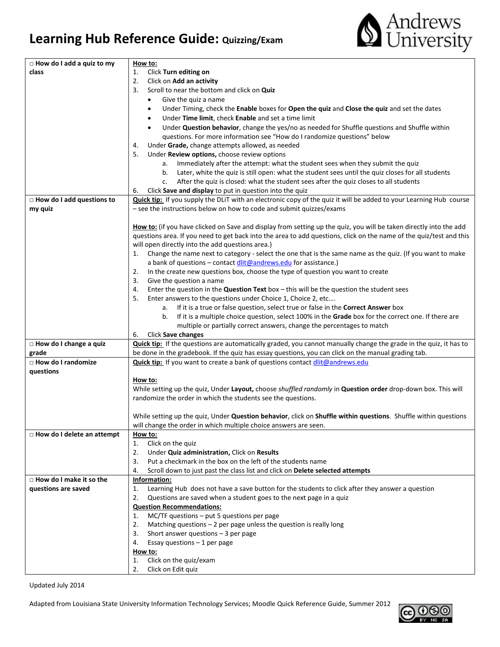## **Learning Hub Reference Guide: Quizzing/Exam**



| $\Box$ How do I add a quiz to my  | How to:                                                                                                                                        |
|-----------------------------------|------------------------------------------------------------------------------------------------------------------------------------------------|
| class                             | Click Turn editing on<br>1.                                                                                                                    |
|                                   | 2.<br>Click on Add an activity                                                                                                                 |
|                                   | Scroll to near the bottom and click on Quiz<br>3.                                                                                              |
|                                   | Give the quiz a name<br>$\bullet$                                                                                                              |
|                                   | Under Timing, check the Enable boxes for Open the quiz and Close the quiz and set the dates<br>$\bullet$                                       |
|                                   | Under Time limit, check Enable and set a time limit<br>٠                                                                                       |
|                                   | Under Question behavior, change the yes/no as needed for Shuffle questions and Shuffle within<br>٠                                             |
|                                   | questions. For more information see "How do I randomize questions" below                                                                       |
|                                   | Under Grade, change attempts allowed, as needed<br>4.                                                                                          |
|                                   | 5.<br>Under Review options, choose review options                                                                                              |
|                                   | a. Immediately after the attempt: what the student sees when they submit the quiz                                                              |
|                                   | b. Later, white the quiz is still open: what the student sees until the quiz closes for all students                                           |
|                                   | After the quiz is closed: what the student sees after the quiz closes to all students<br>c.                                                    |
|                                   | Click Save and display to put in question into the quiz<br>6.                                                                                  |
| □ How do I add questions to       | <b>Quick tip:</b> If you supply the DLiT with an electronic copy of the quiz it will be added to your Learning Hub course                      |
| my quiz                           | - see the instructions below on how to code and submit quizzes/exams                                                                           |
|                                   |                                                                                                                                                |
|                                   | How to: (if you have clicked on Save and display from setting up the quiz, you will be taken directly into the add                             |
|                                   | questions area. If you need to get back into the area to add questions, click on the name of the quiz/test and this                            |
|                                   | will open directly into the add questions area.)                                                                                               |
|                                   | Change the name next to category - select the one that is the same name as the quiz. (If you want to make<br>1.                                |
|                                   | a bank of questions - contact dlit@andrews.edu for assistance.)                                                                                |
|                                   | In the create new questions box, choose the type of question you want to create<br>2.                                                          |
|                                   | 3.<br>Give the question a name                                                                                                                 |
|                                   | Enter the question in the Question Text box $-$ this will be the question the student sees<br>4.                                               |
|                                   | Enter answers to the questions under Choice 1, Choice 2, etc<br>5.                                                                             |
|                                   | a. If it is a true or false question, select true or false in the Correct Answer box                                                           |
|                                   | If it is a multiple choice question, select 100% in the Grade box for the correct one. If there are<br>b.                                      |
|                                   | multiple or partially correct answers, change the percentages to match<br>6.                                                                   |
| $\Box$ How do I change a quiz     | Click Save changes<br><b>Quick tip:</b> If the questions are automatically graded, you cannot manually change the grade in the quiz, it has to |
| grade                             | be done in the gradebook. If the quiz has essay questions, you can click on the manual grading tab.                                            |
| $\Box$ How do I randomize         | Quick tip: If you want to create a bank of questions contact dlit@andrews.edu                                                                  |
| questions                         |                                                                                                                                                |
|                                   | How to:                                                                                                                                        |
|                                   | While setting up the quiz, Under Layout, choose shuffled randomly in Question order drop-down box. This will                                   |
|                                   | randomize the order in which the students see the questions.                                                                                   |
|                                   |                                                                                                                                                |
|                                   | While setting up the quiz, Under Question behavior, click on Shuffle within questions. Shuffle within questions                                |
|                                   | will change the order in which multiple choice answers are seen.                                                                               |
| $\Box$ How do I delete an attempt | How to:                                                                                                                                        |
|                                   | Click on the quiz<br>1.                                                                                                                        |
|                                   | 2.<br>Under Quiz administration, Click on Results                                                                                              |
|                                   | Put a checkmark in the box on the left of the students name<br>3.                                                                              |
|                                   | Scroll down to just past the class list and click on Delete selected attempts<br>4.                                                            |
| □ How do I make it so the         | Information:                                                                                                                                   |
| questions are saved               | Learning Hub does not have a save button for the students to click after they answer a question<br>1.                                          |
|                                   | 2.<br>Questions are saved when a student goes to the next page in a quiz                                                                       |
|                                   | <b>Question Recommendations:</b>                                                                                                               |
|                                   | $MC/TF$ questions $-$ put 5 questions per page<br>1.                                                                                           |
|                                   | Matching questions $-2$ per page unless the question is really long<br>2.                                                                      |
|                                   | 3.<br>Short answer questions $-3$ per page                                                                                                     |
|                                   | Essay questions $-1$ per page<br>4.                                                                                                            |
|                                   | How to:<br>Click on the quiz/exam<br>1.                                                                                                        |
|                                   | Click on Edit quiz<br>2.                                                                                                                       |
|                                   |                                                                                                                                                |

Updated July 2014

Adapted from Louisiana State University Information Technology Services; Moodle Quick Reference Guide, Summer 2012